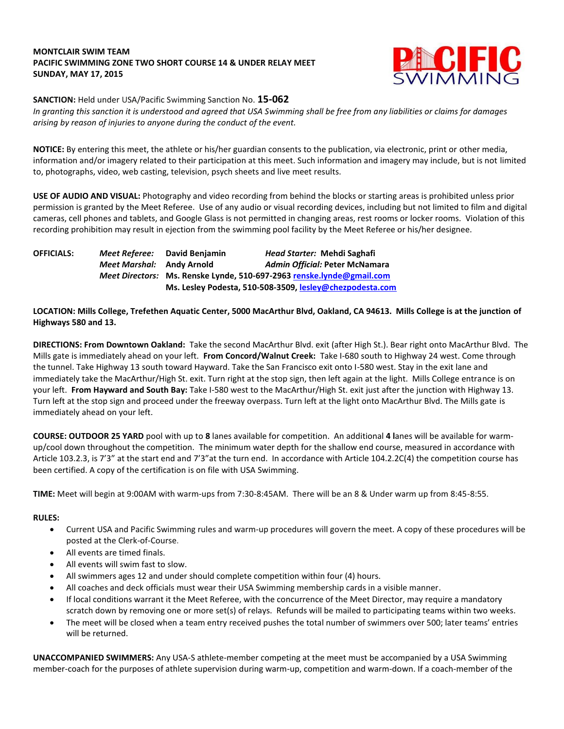### **MONTCLAIR SWIM TEAM PACIFIC SWIMMING ZONE TWO SHORT COURSE 14 & UNDER RELAY MEET SUNDAY, MAY 17, 2015**



## **SANCTION:** Held under USA/Pacific Swimming Sanction No. **15-062**

*In granting this sanction it is understood and agreed that USA Swimming shall be free from any liabilities or claims for damages arising by reason of injuries to anyone during the conduct of the event.*

**NOTICE:** By entering this meet, the athlete or his/her guardian consents to the publication, via electronic, print or other media, information and/or imagery related to their participation at this meet. Such information and imagery may include, but is not limited to, photographs, video, web casting, television, psych sheets and live meet results.

**USE OF AUDIO AND VISUAL:** Photography and video recording from behind the blocks or starting areas is prohibited unless prior permission is granted by the Meet Referee. Use of any audio or visual recording devices, including but not limited to film and digital cameras, cell phones and tablets, and Google Glass is not permitted in changing areas, rest rooms or locker rooms. Violation of this recording prohibition may result in ejection from the swimming pool facility by the Meet Referee or his/her designee.

| <b>OFFICIALS:</b> | Meet Referee:             | David Beniamin                                                        | Head Starter: Mehdi Saghafi    |  |
|-------------------|---------------------------|-----------------------------------------------------------------------|--------------------------------|--|
|                   | Meet Marshal: Andy Arnold |                                                                       | Admin Official: Peter McNamara |  |
|                   |                           | Meet Directors: Ms. Renske Lynde, 510-697-2963 renske.lynde@gmail.com |                                |  |
|                   |                           | Ms. Lesley Podesta, 510-508-3509, lesley@chezpodesta.com              |                                |  |

## **LOCATION: Mills College, Trefethen Aquatic Center, 5000 MacArthur Blvd, Oakland, CA 94613. Mills College is at the junction of Highways 580 and 13.**

**DIRECTIONS: From Downtown Oakland:** Take the second MacArthur Blvd. exit (after High St.). Bear right onto MacArthur Blvd. The Mills gate is immediately ahead on your left. **From Concord/Walnut Creek:** Take I-680 south to Highway 24 west. Come through the tunnel. Take Highway 13 south toward Hayward. Take the San Francisco exit onto I-580 west. Stay in the exit lane and immediately take the MacArthur/High St. exit. Turn right at the stop sign, then left again at the light. Mills College entrance is on your left. **From Hayward and South Bay:** Take I-580 west to the MacArthur/High St. exit just after the junction with Highway 13. Turn left at the stop sign and proceed under the freeway overpass. Turn left at the light onto MacArthur Blvd. The Mills gate is immediately ahead on your left.

**COURSE: OUTDOOR 25 YARD** pool with up to **8** lanes available for competition.An additional **4 l**anes will be available for warmup/cool down throughout the competition. The minimum water depth for the shallow end course, measured in accordance with Article 103.2.3, is 7'3" at the start end and 7'3"at the turn end. In accordance with Article 104.2.2C(4) the competition course has been certified. A copy of the certification is on file with USA Swimming.

**TIME:** Meet will begin at 9:00AM with warm-ups from 7:30-8:45AM. There will be an 8 & Under warm up from 8:45-8:55.

## **RULES:**

- Current USA and Pacific Swimming rules and warm-up procedures will govern the meet. A copy of these procedures will be posted at the Clerk-of-Course.
- All events are timed finals.
- All events will swim fast to slow.
- All swimmers ages 12 and under should complete competition within four (4) hours.
- All coaches and deck officials must wear their USA Swimming membership cards in a visible manner.
- If local conditions warrant it the Meet Referee, with the concurrence of the Meet Director, may require a mandatory scratch down by removing one or more set(s) of relays. Refunds will be mailed to participating teams within two weeks.
- The meet will be closed when a team entry received pushes the total number of swimmers over 500; later teams' entries will be returned.

**UNACCOMPANIED SWIMMERS:** Any USA-S athlete-member competing at the meet must be accompanied by a USA Swimming member-coach for the purposes of athlete supervision during warm-up, competition and warm-down. If a coach-member of the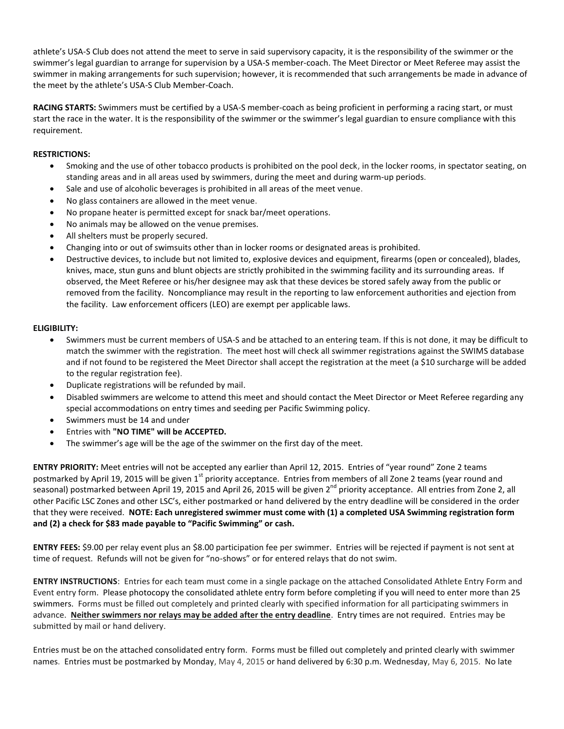athlete's USA-S Club does not attend the meet to serve in said supervisory capacity, it is the responsibility of the swimmer or the swimmer's legal guardian to arrange for supervision by a USA-S member-coach. The Meet Director or Meet Referee may assist the swimmer in making arrangements for such supervision; however, it is recommended that such arrangements be made in advance of the meet by the athlete's USA-S Club Member-Coach.

**RACING STARTS:** Swimmers must be certified by a USA-S member-coach as being proficient in performing a racing start, or must start the race in the water. It is the responsibility of the swimmer or the swimmer's legal guardian to ensure compliance with this requirement.

## **RESTRICTIONS:**

- Smoking and the use of other tobacco products is prohibited on the pool deck, in the locker rooms, in spectator seating, on standing areas and in all areas used by swimmers, during the meet and during warm-up periods.
- Sale and use of alcoholic beverages is prohibited in all areas of the meet venue.
- No glass containers are allowed in the meet venue.
- No propane heater is permitted except for snack bar/meet operations.
- No animals may be allowed on the venue premises.
- All shelters must be properly secured.
- Changing into or out of swimsuits other than in locker rooms or designated areas is prohibited.
- Destructive devices, to include but not limited to, explosive devices and equipment, firearms (open or concealed), blades, knives, mace, stun guns and blunt objects are strictly prohibited in the swimming facility and its surrounding areas. If observed, the Meet Referee or his/her designee may ask that these devices be stored safely away from the public or removed from the facility. Noncompliance may result in the reporting to law enforcement authorities and ejection from the facility. Law enforcement officers (LEO) are exempt per applicable laws.

## **ELIGIBILITY:**

- Swimmers must be current members of USA-S and be attached to an entering team. If this is not done, it may be difficult to match the swimmer with the registration. The meet host will check all swimmer registrations against the SWIMS database and if not found to be registered the Meet Director shall accept the registration at the meet (a \$10 surcharge will be added to the regular registration fee).
- Duplicate registrations will be refunded by mail.
- Disabled swimmers are welcome to attend this meet and should contact the Meet Director or Meet Referee regarding any special accommodations on entry times and seeding per Pacific Swimming policy.
- Swimmers must be 14 and under
- Entries with **"NO TIME" will be ACCEPTED.**
- The swimmer's age will be the age of the swimmer on the first day of the meet.

**ENTRY PRIORITY:** Meet entries will not be accepted any earlier than April 12, 2015. Entries of "year round" Zone 2 teams postmarked by April 19, 2015 will be given 1<sup>st</sup> priority acceptance. Entries from members of all Zone 2 teams (year round and seasonal) postmarked between April 19, 2015 and April 26, 2015 will be given 2<sup>nd</sup> priority acceptance. All entries from Zone 2, all other Pacific LSC Zones and other LSC's, either postmarked or hand delivered by the entry deadline will be considered in the order that they were received. **NOTE: Each unregistered swimmer must come with (1) a completed USA Swimming registration form and (2) a check for \$83 made payable to "Pacific Swimming" or cash.**

**ENTRY FEES:** \$9.00 per relay event plus an \$8.00 participation fee per swimmer. Entries will be rejected if payment is not sent at time of request. Refunds will not be given for "no-shows" or for entered relays that do not swim.

**ENTRY INSTRUCTIONS**: Entries for each team must come in a single package on the attached Consolidated Athlete Entry Form and Event entry form. Please photocopy the consolidated athlete entry form before completing if you will need to enter more than 25 swimmers. Forms must be filled out completely and printed clearly with specified information for all participating swimmers in advance. **Neither swimmers nor relays may be added after the entry deadline**. Entry times are not required. Entries may be submitted by mail or hand delivery.

Entries must be on the attached consolidated entry form. Forms must be filled out completely and printed clearly with swimmer names. Entries must be postmarked by Monday, May 4, 2015 or hand delivered by 6:30 p.m. Wednesday, May 6, 2015. No late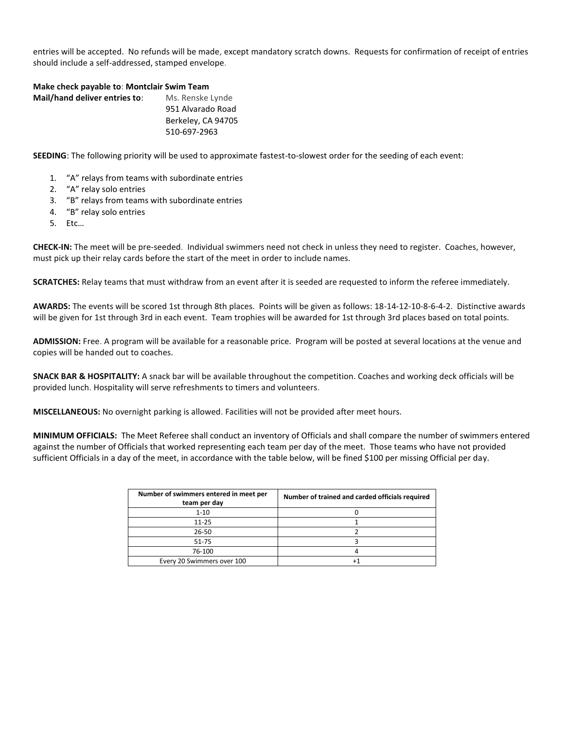entries will be accepted. No refunds will be made, except mandatory scratch downs. Requests for confirmation of receipt of entries should include a self-addressed, stamped envelope.

#### **Make check payable to**: **Montclair Swim Team**

| Mail/hand deliver entries to: | Ms. Renske Lynde   |
|-------------------------------|--------------------|
|                               | 951 Alvarado Road  |
|                               | Berkeley, CA 94705 |
|                               | 510-697-2963       |
|                               |                    |

**SEEDING**: The following priority will be used to approximate fastest-to-slowest order for the seeding of each event:

- 1. "A" relays from teams with subordinate entries
- 2. "A" relay solo entries
- 3. "B" relays from teams with subordinate entries
- 4. "B" relay solo entries
- 5. Etc…

**CHECK-IN:** The meet will be pre-seeded. Individual swimmers need not check in unless they need to register. Coaches, however, must pick up their relay cards before the start of the meet in order to include names.

**SCRATCHES:** Relay teams that must withdraw from an event after it is seeded are requested to inform the referee immediately.

**AWARDS:** The events will be scored 1st through 8th places. Points will be given as follows: 18-14-12-10-8-6-4-2. Distinctive awards will be given for 1st through 3rd in each event. Team trophies will be awarded for 1st through 3rd places based on total points.

**ADMISSION:** Free. A program will be available for a reasonable price. Program will be posted at several locations at the venue and copies will be handed out to coaches.

**SNACK BAR & HOSPITALITY:** A snack bar will be available throughout the competition. Coaches and working deck officials will be provided lunch. Hospitality will serve refreshments to timers and volunteers.

**MISCELLANEOUS:** No overnight parking is allowed. Facilities will not be provided after meet hours.

**MINIMUM OFFICIALS:** The Meet Referee shall conduct an inventory of Officials and shall compare the number of swimmers entered against the number of Officials that worked representing each team per day of the meet. Those teams who have not provided sufficient Officials in a day of the meet, in accordance with the table below, will be fined \$100 per missing Official per day.

| Number of swimmers entered in meet per<br>team per day | Number of trained and carded officials required |
|--------------------------------------------------------|-------------------------------------------------|
| $1 - 10$                                               |                                                 |
| $11 - 25$                                              |                                                 |
| $26 - 50$                                              |                                                 |
| 51-75                                                  |                                                 |
| 76-100                                                 |                                                 |
| Every 20 Swimmers over 100                             |                                                 |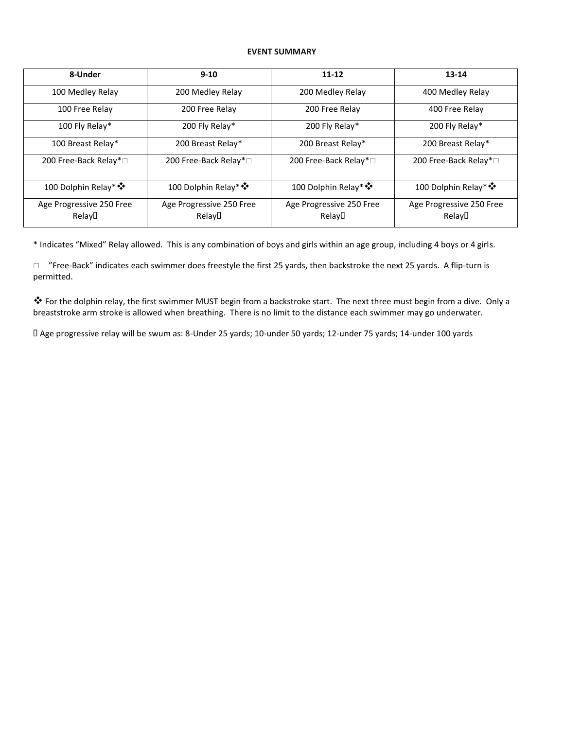### **EVENT SUMMARY**

| 8-Under                            | $9 - 10$                           | $11 - 12$                          |                                                 |
|------------------------------------|------------------------------------|------------------------------------|-------------------------------------------------|
| 100 Medley Relay                   | 200 Medley Relay                   | 200 Medley Relay                   | 400 Medley Relay                                |
| 100 Free Relay                     | 200 Free Relay                     | 200 Free Relay                     | 400 Free Relay                                  |
| 100 Fly Relay*                     | 200 Fly Relay*                     | 200 Fly Relay*                     | 200 Fly Relay*                                  |
| 100 Breast Relay*                  | 200 Breast Relay*                  | 200 Breast Relay*                  | 200 Breast Relay*                               |
| 200 Free-Back Relay*□              | 200 Free-Back Relay*□              | 200 Free-Back Relay*□              | 200 Free-Back Relay*□                           |
| 100 Dolphin Relay* *               | 100 Dolphin Relay* ❖               | 100 Dolphin Relay* *               | 100 Dolphin Relay* *                            |
| Age Progressive 250 Free<br>Relay□ | Age Progressive 250 Free<br>Relay□ | Age Progressive 250 Free<br>Relay□ | Age Progressive 250 Free<br>Relay <sup>[]</sup> |

\* Indicates "Mixed" Relay allowed. This is any combination of boys and girls within an age group, including 4 boys or 4 girls.

 $\Box$  "Free-Back" indicates each swimmer does freestyle the first 25 yards, then backstroke the next 25 yards. A flip-turn is permitted.

 For the dolphin relay, the first swimmer MUST begin from a backstroke start. The next three must begin from a dive. Only a breaststroke arm stroke is allowed when breathing. There is no limit to the distance each swimmer may go underwater.

Age progressive relay will be swum as: 8-Under 25 yards; 10-under 50 yards; 12-under 75 yards; 14-under 100 yards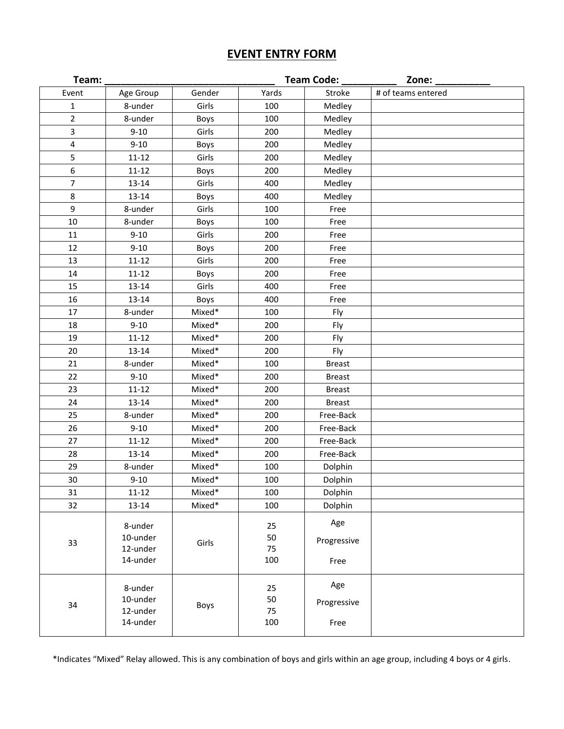# **EVENT ENTRY FORM**

| Team:          |                                             |        |                       | <b>Team Code:</b>          | Zone:              |
|----------------|---------------------------------------------|--------|-----------------------|----------------------------|--------------------|
| Event          | Age Group                                   | Gender | Yards                 | Stroke                     | # of teams entered |
| 1              | 8-under                                     | Girls  | 100                   | Medley                     |                    |
| $\overline{2}$ | 8-under                                     | Boys   | 100                   | Medley                     |                    |
| 3              | $9 - 10$                                    | Girls  | 200                   | Medley                     |                    |
| 4              | $9 - 10$                                    | Boys   | 200                   | Medley                     |                    |
| 5              | $11 - 12$                                   | Girls  | 200                   | Medley                     |                    |
| 6              | $11 - 12$                                   | Boys   | 200                   | Medley                     |                    |
| 7              | 13-14                                       | Girls  | 400                   | Medley                     |                    |
| 8              | 13-14                                       | Boys   | 400                   | Medley                     |                    |
| 9              | 8-under                                     | Girls  | 100                   | Free                       |                    |
| 10             | 8-under                                     | Boys   | 100                   | Free                       |                    |
| 11             | $9 - 10$                                    | Girls  | 200                   | Free                       |                    |
| 12             | $9 - 10$                                    | Boys   | 200                   | Free                       |                    |
| 13             | $11 - 12$                                   | Girls  | 200                   | Free                       |                    |
| 14             | $11 - 12$                                   | Boys   | 200                   | Free                       |                    |
| 15             | 13-14                                       | Girls  | 400                   | Free                       |                    |
| 16             | 13-14                                       | Boys   | 400                   | Free                       |                    |
| 17             | 8-under                                     | Mixed* | 100                   | Fly                        |                    |
| 18             | $9 - 10$                                    | Mixed* | 200                   | Fly                        |                    |
| 19             | $11 - 12$                                   | Mixed* | 200                   | Fly                        |                    |
| 20             | 13-14                                       | Mixed* | 200                   | Fly                        |                    |
| 21             | 8-under                                     | Mixed* | 100                   | <b>Breast</b>              |                    |
| 22             | $9 - 10$                                    | Mixed* | 200                   | <b>Breast</b>              |                    |
| 23             | $11 - 12$                                   | Mixed* | 200                   | <b>Breast</b>              |                    |
| 24             | 13-14                                       | Mixed* | 200                   | <b>Breast</b>              |                    |
| 25             | 8-under                                     | Mixed* | 200                   | Free-Back                  |                    |
| 26             | $9 - 10$                                    | Mixed* | 200                   | Free-Back                  |                    |
| 27             | $11 - 12$                                   | Mixed* | 200                   | Free-Back                  |                    |
| 28             | 13-14                                       | Mixed* | 200                   | Free-Back                  |                    |
| 29             | 8-under                                     | Mixed* | 100                   | Dolphin                    |                    |
| 30             | $9 - 10$                                    | Mixed* | 100                   | Dolphin                    |                    |
| 31             | $11 - 12$                                   | Mixed* | 100                   | Dolphin                    |                    |
| 32             | 13-14                                       | Mixed* | 100                   | Dolphin                    |                    |
| 33             | 8-under<br>10-under<br>12-under<br>14-under | Girls  | 25<br>50<br>75<br>100 | Age<br>Progressive<br>Free |                    |
| 34             | 8-under<br>10-under<br>12-under<br>14-under | Boys   | 25<br>50<br>75<br>100 | Age<br>Progressive<br>Free |                    |
|                |                                             |        |                       |                            |                    |

\*Indicates "Mixed" Relay allowed. This is any combination of boys and girls within an age group, including 4 boys or 4 girls.